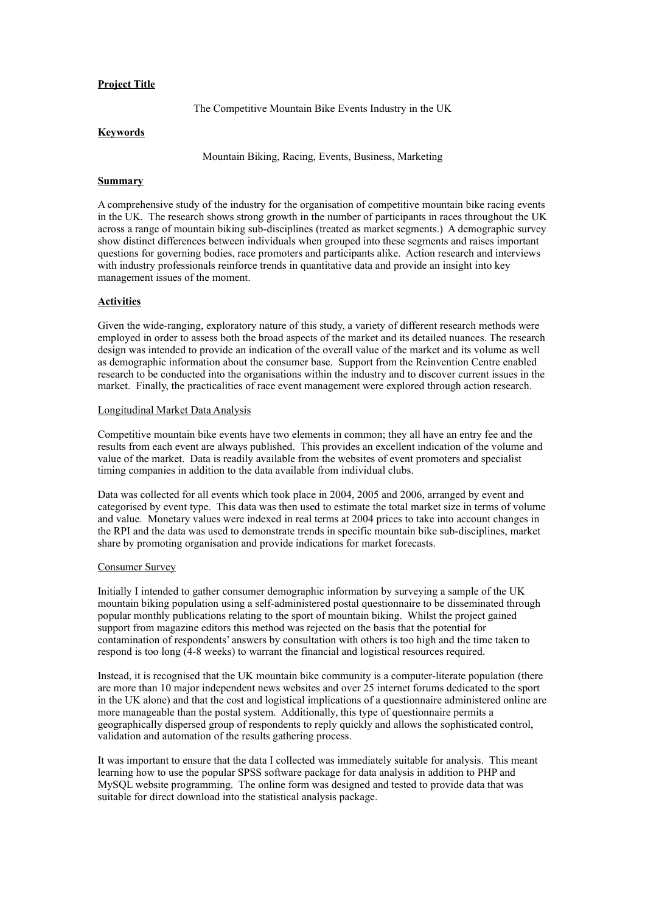# **Project Title**

The Competitive Mountain Bike Events Industry in the UK

## **Keywords**

Mountain Biking, Racing, Events, Business, Marketing

## **Summary**

A comprehensive study of the industry for the organisation of competitive mountain bike racing events in the UK. The research shows strong growth in the number of participants in races throughout the UK across a range of mountain biking sub-disciplines (treated as market segments.) A demographic survey show distinct differences between individuals when grouped into these segments and raises important questions for governing bodies, race promoters and participants alike. Action research and interviews with industry professionals reinforce trends in quantitative data and provide an insight into key management issues of the moment.

## **Activities**

Given the wide-ranging, exploratory nature of this study, a variety of different research methods were employed in order to assess both the broad aspects of the market and its detailed nuances. The research design was intended to provide an indication of the overall value of the market and its volume as well as demographic information about the consumer base. Support from the Reinvention Centre enabled research to be conducted into the organisations within the industry and to discover current issues in the market. Finally, the practicalities of race event management were explored through action research.

## Longitudinal Market Data Analysis

Competitive mountain bike events have two elements in common; they all have an entry fee and the results from each event are always published. This provides an excellent indication of the volume and value of the market. Data is readily available from the websites of event promoters and specialist timing companies in addition to the data available from individual clubs.

Data was collected for all events which took place in 2004, 2005 and 2006, arranged by event and categorised by event type. This data was then used to estimate the total market size in terms of volume and value. Monetary values were indexed in real terms at 2004 prices to take into account changes in the RPI and the data was used to demonstrate trends in specific mountain bike sub-disciplines, market share by promoting organisation and provide indications for market forecasts.

## Consumer Survey

Initially I intended to gather consumer demographic information by surveying a sample of the UK mountain biking population using a self-administered postal questionnaire to be disseminated through popular monthly publications relating to the sport of mountain biking. Whilst the project gained support from magazine editors this method was rejected on the basis that the potential for contamination of respondents' answers by consultation with others is too high and the time taken to respond is too long (4-8 weeks) to warrant the financial and logistical resources required.

Instead, it is recognised that the UK mountain bike community is a computer-literate population (there are more than 10 major independent news websites and over 25 internet forums dedicated to the sport in the UK alone) and that the cost and logistical implications of a questionnaire administered online are more manageable than the postal system. Additionally, this type of questionnaire permits a geographically dispersed group of respondents to reply quickly and allows the sophisticated control, validation and automation of the results gathering process.

It was important to ensure that the data I collected was immediately suitable for analysis. This meant learning how to use the popular SPSS software package for data analysis in addition to PHP and MySQL website programming. The online form was designed and tested to provide data that was suitable for direct download into the statistical analysis package.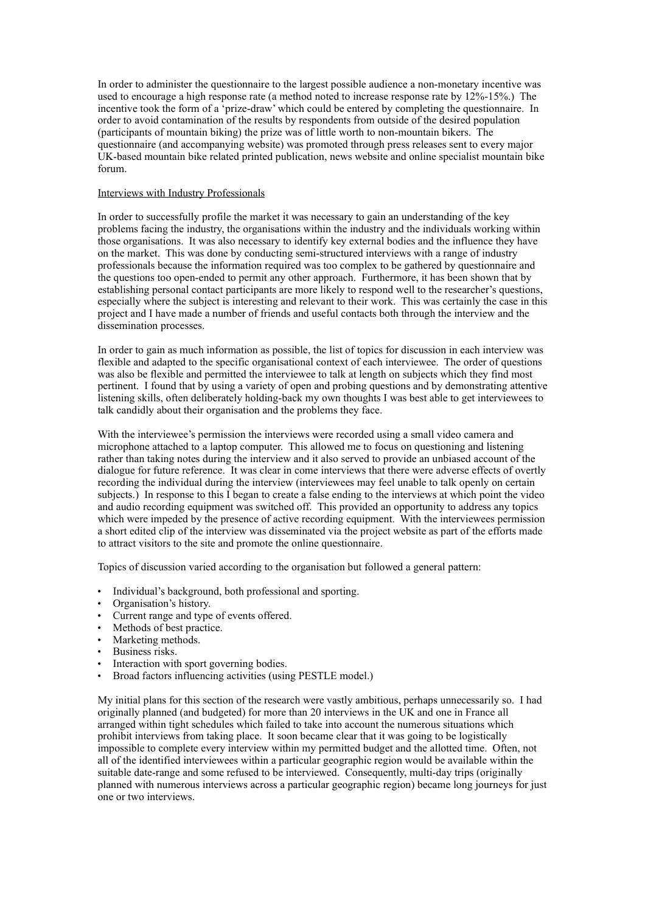In order to administer the questionnaire to the largest possible audience a non-monetary incentive was used to encourage a high response rate (a method noted to increase response rate by 12%-15%.) The incentive took the form of a 'prize-draw' which could be entered by completing the questionnaire. In order to avoid contamination of the results by respondents from outside of the desired population (participants of mountain biking) the prize was of little worth to non-mountain bikers. The questionnaire (and accompanying website) was promoted through press releases sent to every major UK-based mountain bike related printed publication, news website and online specialist mountain bike forum.

## Interviews with Industry Professionals

In order to successfully profile the market it was necessary to gain an understanding of the key problems facing the industry, the organisations within the industry and the individuals working within those organisations. It was also necessary to identify key external bodies and the influence they have on the market. This was done by conducting semi-structured interviews with a range of industry professionals because the information required was too complex to be gathered by questionnaire and the questions too open-ended to permit any other approach. Furthermore, it has been shown that by establishing personal contact participants are more likely to respond well to the researcher's questions, especially where the subject is interesting and relevant to their work. This was certainly the case in this project and I have made a number of friends and useful contacts both through the interview and the dissemination processes.

In order to gain as much information as possible, the list of topics for discussion in each interview was flexible and adapted to the specific organisational context of each interviewee. The order of questions was also be flexible and permitted the interviewee to talk at length on subjects which they find most pertinent. I found that by using a variety of open and probing questions and by demonstrating attentive listening skills, often deliberately holding-back my own thoughts I was best able to get interviewees to talk candidly about their organisation and the problems they face.

With the interviewee's permission the interviews were recorded using a small video camera and microphone attached to a laptop computer. This allowed me to focus on questioning and listening rather than taking notes during the interview and it also served to provide an unbiased account of the dialogue for future reference. It was clear in come interviews that there were adverse effects of overtly recording the individual during the interview (interviewees may feel unable to talk openly on certain subjects.) In response to this I began to create a false ending to the interviews at which point the video and audio recording equipment was switched off. This provided an opportunity to address any topics which were impeded by the presence of active recording equipment. With the interviewees permission a short edited clip of the interview was disseminated via the project website as part of the efforts made to attract visitors to the site and promote the online questionnaire.

Topics of discussion varied according to the organisation but followed a general pattern:

- Individual's background, both professional and sporting.
- Organisation's history.
- Current range and type of events offered.
- Methods of best practice.
- Marketing methods.
- Business risks.
- Interaction with sport governing bodies.
- Broad factors influencing activities (using PESTLE model.)

My initial plans for this section of the research were vastly ambitious, perhaps unnecessarily so. I had originally planned (and budgeted) for more than 20 interviews in the UK and one in France all arranged within tight schedules which failed to take into account the numerous situations which prohibit interviews from taking place. It soon became clear that it was going to be logistically impossible to complete every interview within my permitted budget and the allotted time. Often, not all of the identified interviewees within a particular geographic region would be available within the suitable date-range and some refused to be interviewed. Consequently, multi-day trips (originally planned with numerous interviews across a particular geographic region) became long journeys for just one or two interviews.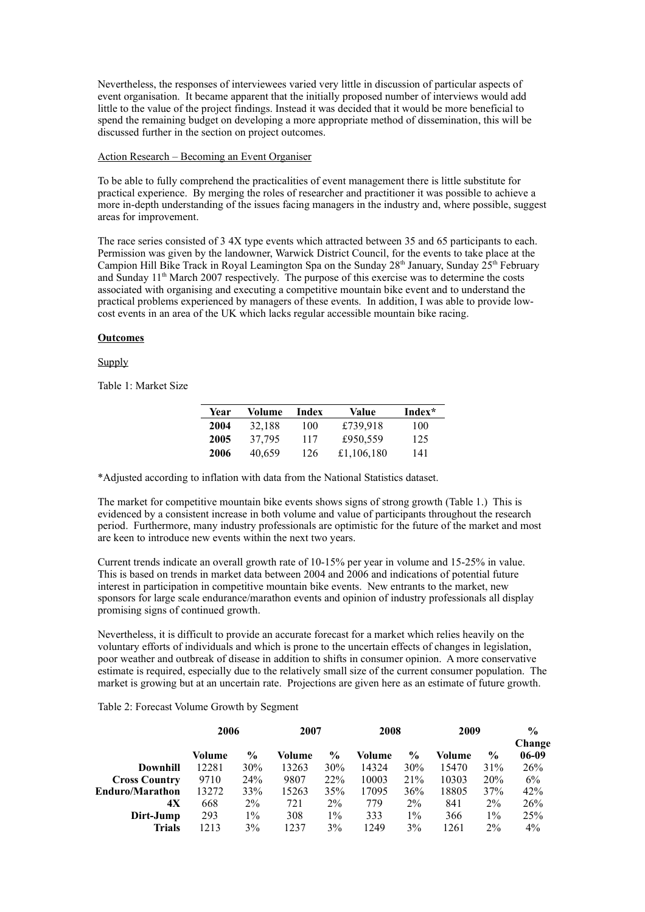Nevertheless, the responses of interviewees varied very little in discussion of particular aspects of event organisation. It became apparent that the initially proposed number of interviews would add little to the value of the project findings. Instead it was decided that it would be more beneficial to spend the remaining budget on developing a more appropriate method of dissemination, this will be discussed further in the section on project outcomes.

#### Action Research – Becoming an Event Organiser

To be able to fully comprehend the practicalities of event management there is little substitute for practical experience. By merging the roles of researcher and practitioner it was possible to achieve a more in-depth understanding of the issues facing managers in the industry and, where possible, suggest areas for improvement.

The race series consisted of 3 4X type events which attracted between 35 and 65 participants to each. Permission was given by the landowner, Warwick District Council, for the events to take place at the Campion Hill Bike Track in Royal Leamington Spa on the Sunday  $28<sup>th</sup>$  January, Sunday  $25<sup>th</sup>$  February and Sunday  $11^{\text{th}}$  March 2007 respectively. The purpose of this exercise was to determine the costs associated with organising and executing a competitive mountain bike event and to understand the practical problems experienced by managers of these events. In addition, I was able to provide lowcost events in an area of the UK which lacks regular accessible mountain bike racing.

## **Outcomes**

## **Supply**

Table 1: Market Size

| Year | Volume | Index | Value      | Index* |
|------|--------|-------|------------|--------|
| 2004 | 32,188 | 100   | £739,918   | 100    |
| 2005 | 37,795 | 117   | £950.559   | 125    |
| 2006 | 40,659 | 126   | £1,106,180 | 141    |

\*Adjusted according to inflation with data from the National Statistics dataset.

The market for competitive mountain bike events shows signs of strong growth (Table 1.) This is evidenced by a consistent increase in both volume and value of participants throughout the research period. Furthermore, many industry professionals are optimistic for the future of the market and most are keen to introduce new events within the next two years.

Current trends indicate an overall growth rate of 10-15% per year in volume and 15-25% in value. This is based on trends in market data between 2004 and 2006 and indications of potential future interest in participation in competitive mountain bike events. New entrants to the market, new sponsors for large scale endurance/marathon events and opinion of industry professionals all display promising signs of continued growth.

Nevertheless, it is difficult to provide an accurate forecast for a market which relies heavily on the voluntary efforts of individuals and which is prone to the uncertain effects of changes in legislation, poor weather and outbreak of disease in addition to shifts in consumer opinion. A more conservative estimate is required, especially due to the relatively small size of the current consumer population. The market is growing but at an uncertain rate. Projections are given here as an estimate of future growth.

Table 2: Forecast Volume Growth by Segment

|                        | 2006   |               | 2007   |       | 2008   |               | 2009   |               | $\frac{6}{9}$<br>Change |
|------------------------|--------|---------------|--------|-------|--------|---------------|--------|---------------|-------------------------|
|                        | Volume | $\frac{6}{9}$ | Volume | $\%$  | Volume | $\frac{0}{0}$ | Volume | $\frac{6}{9}$ | $06-09$                 |
| <b>Downhill</b>        | 12281  | 30%           | 13263  | 30%   | 14324  | 30%           | 15470  | 31%           | 26%                     |
| <b>Cross Country</b>   | 9710   | 24%           | 9807   | 22%   | 10003  | 21%           | 10303  | 20%           | 6%                      |
| <b>Enduro/Marathon</b> | 13272  | 33%           | 15263  | 35%   | 17095  | 36%           | 18805  | 37%           | 42%                     |
| 4X                     | 668    | $2\%$         | 721    | $2\%$ | 779    | $2\%$         | 841    | $2\%$         | 26%                     |
| Dirt-Jump              | 293    | 1%            | 308    | $1\%$ | 333    | $1\%$         | 366    | $1\%$         | 25%                     |
| Trials                 | 1213   | 3%            | 1237   | 3%    | 1249   | 3%            | 1261   | $2\%$         | $4\%$                   |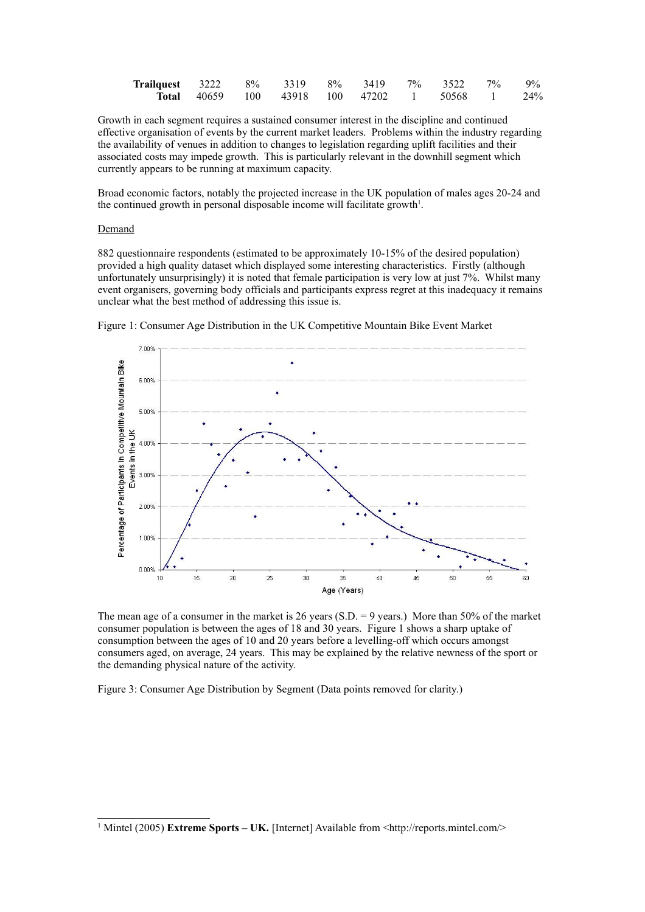| <b>Trailquest</b> 3222 8% 3319 8% 3419 7% 3522 7% 9% |  |                                                      |  |  |  |
|------------------------------------------------------|--|------------------------------------------------------|--|--|--|
|                                                      |  | <b>Total</b> 40659 100 43918 100 47202 1 50568 1 24% |  |  |  |

Growth in each segment requires a sustained consumer interest in the discipline and continued effective organisation of events by the current market leaders. Problems within the industry regarding the availability of venues in addition to changes to legislation regarding uplift facilities and their associated costs may impede growth. This is particularly relevant in the downhill segment which currently appears to be running at maximum capacity.

Broad economic factors, notably the projected increase in the UK population of males ages 20-24 and the continued growth in personal disposable income will facilitate growth 1 .

## Demand

882 questionnaire respondents (estimated to be approximately 10-15% of the desired population) provided a high quality dataset which displayed some interesting characteristics. Firstly (although unfortunately unsurprisingly) it is noted that female participation is very low at just 7%. Whilst many event organisers, governing body officials and participants express regret at this inadequacy it remains unclear what the best method of addressing this issue is.



Figure 1: Consumer Age Distribution in the UK Competitive Mountain Bike Event Market

The mean age of a consumer in the market is 26 years (S.D.  $= 9$  years.) More than 50% of the market consumer population is between the ages of 18 and 30 years. Figure 1 shows a sharp uptake of consumption between the ages of 10 and 20 years before a levelling-off which occurs amongst consumers aged, on average, 24 years. This may be explained by the relative newness of the sport or the demanding physical nature of the activity.

Figure 3: Consumer Age Distribution by Segment (Data points removed for clarity.)

<sup>1</sup> Mintel (2005) **Extreme Sports – UK.** [Internet] Available from <http://reports.mintel.com/>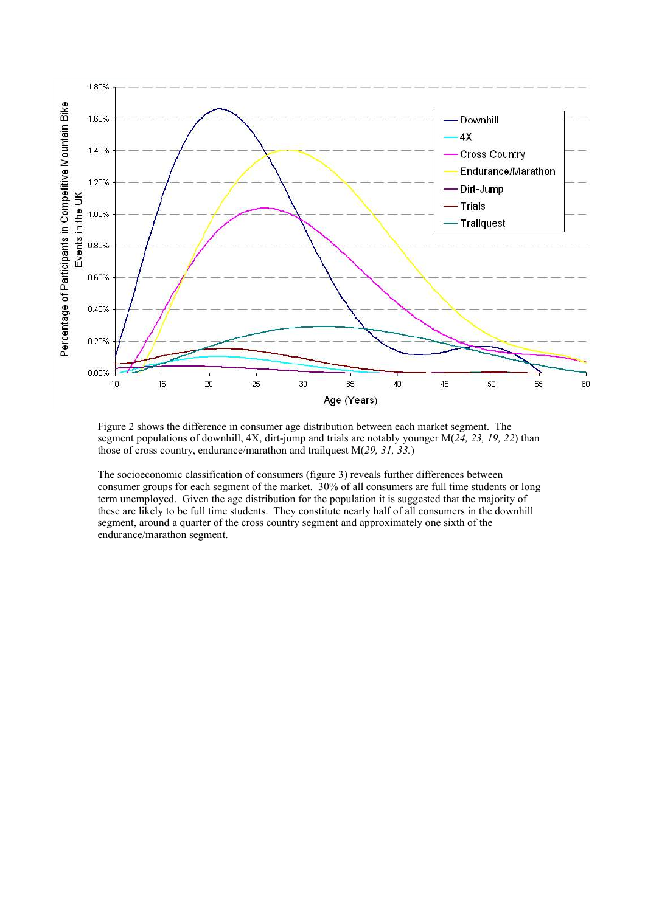

Figure 2 shows the difference in consumer age distribution between each market segment. The segment populations of downhill, 4X, dirt-jump and trials are notably younger M(*24, 23, 19, 22*) than those of cross country, endurance/marathon and trailquest M(*29, 31, 33.*)

The socioeconomic classification of consumers (figure 3) reveals further differences between consumer groups for each segment of the market. 30% of all consumers are full time students or long term unemployed. Given the age distribution for the population it is suggested that the majority of these are likely to be full time students. They constitute nearly half of all consumers in the downhill segment, around a quarter of the cross country segment and approximately one sixth of the endurance/marathon segment.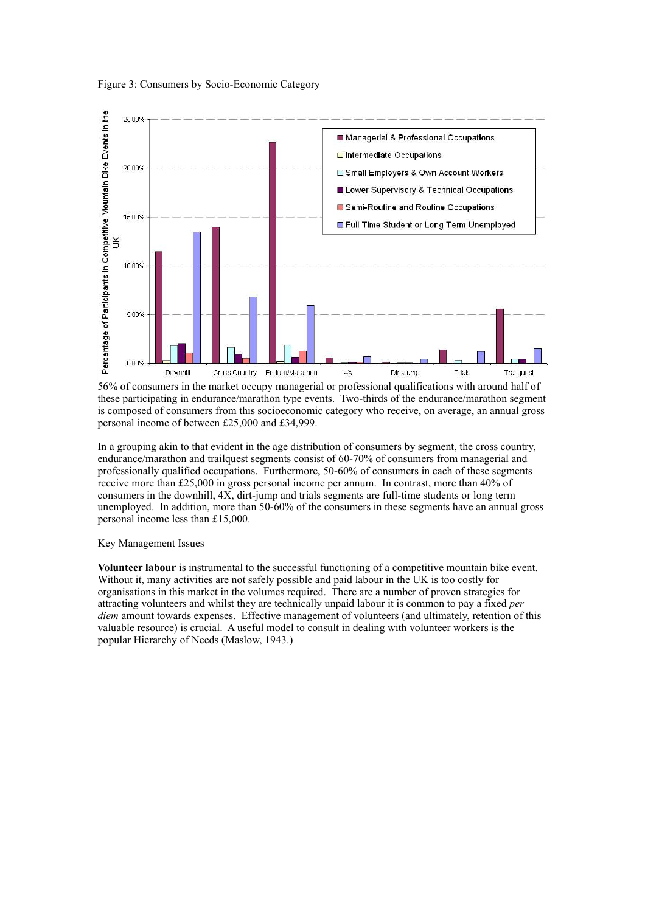



56% of consumers in the market occupy managerial or professional qualifications with around half of these participating in endurance/marathon type events. Two-thirds of the endurance/marathon segment is composed of consumers from this socioeconomic category who receive, on average, an annual gross personal income of between £25,000 and £34,999.

In a grouping akin to that evident in the age distribution of consumers by segment, the cross country, endurance/marathon and trailquest segments consist of 60-70% of consumers from managerial and professionally qualified occupations. Furthermore, 50-60% of consumers in each of these segments receive more than £25,000 in gross personal income per annum. In contrast, more than 40% of consumers in the downhill, 4X, dirt-jump and trials segments are full-time students or long term unemployed. In addition, more than 50-60% of the consumers in these segments have an annual gross personal income less than £15,000.

## Key Management Issues

**Volunteer labour** is instrumental to the successful functioning of a competitive mountain bike event. Without it, many activities are not safely possible and paid labour in the UK is too costly for organisations in this market in the volumes required. There are a number of proven strategies for attracting volunteers and whilst they are technically unpaid labour it is common to pay a fixed *per diem* amount towards expenses. Effective management of volunteers (and ultimately, retention of this valuable resource) is crucial. A useful model to consult in dealing with volunteer workers is the popular Hierarchy of Needs (Maslow, 1943.)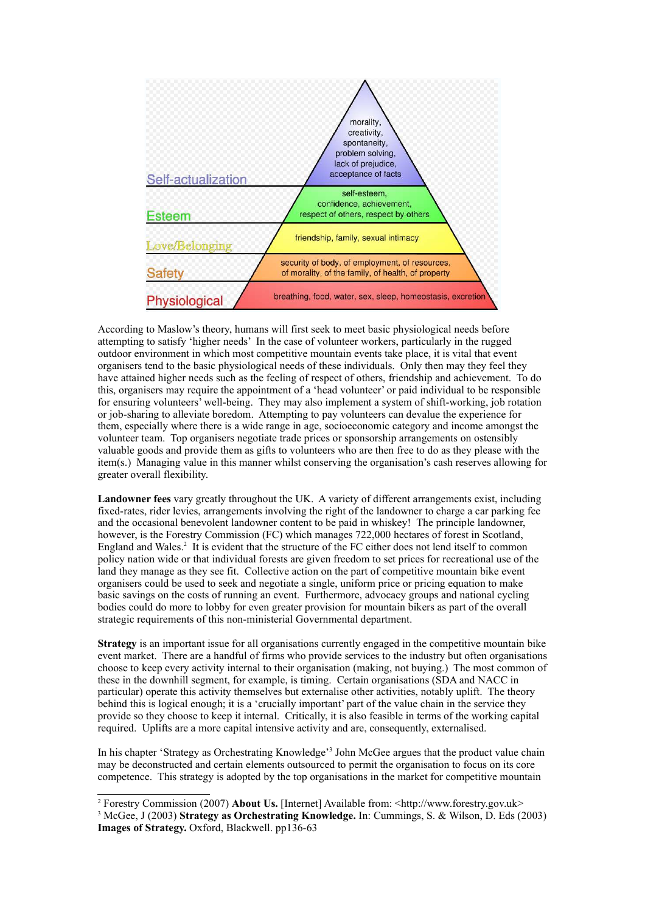

According to Maslow's theory, humans will first seek to meet basic physiological needs before attempting to satisfy 'higher needs' In the case of volunteer workers, particularly in the rugged outdoor environment in which most competitive mountain events take place, it is vital that event organisers tend to the basic physiological needs of these individuals. Only then may they feel they have attained higher needs such as the feeling of respect of others, friendship and achievement. To do this, organisers may require the appointment of a 'head volunteer' or paid individual to be responsible for ensuring volunteers' well-being. They may also implement a system of shift-working, job rotation or job-sharing to alleviate boredom. Attempting to pay volunteers can devalue the experience for them, especially where there is a wide range in age, socioeconomic category and income amongst the volunteer team. Top organisers negotiate trade prices or sponsorship arrangements on ostensibly valuable goods and provide them as gifts to volunteers who are then free to do as they please with the item(s.) Managing value in this manner whilst conserving the organisation's cash reserves allowing for greater overall flexibility.

**Landowner fees** vary greatly throughout the UK. A variety of different arrangements exist, including fixed-rates, rider levies, arrangements involving the right of the landowner to charge a car parking fee and the occasional benevolent landowner content to be paid in whiskey! The principle landowner, however, is the Forestry Commission (FC) which manages 722,000 hectares of forest in Scotland, England and Wales. 2 It is evident that the structure of the FC either does not lend itself to common policy nation wide or that individual forests are given freedom to set prices for recreational use of the land they manage as they see fit. Collective action on the part of competitive mountain bike event organisers could be used to seek and negotiate a single, uniform price or pricing equation to make basic savings on the costs of running an event. Furthermore, advocacy groups and national cycling bodies could do more to lobby for even greater provision for mountain bikers as part of the overall strategic requirements of this non-ministerial Governmental department.

**Strategy** is an important issue for all organisations currently engaged in the competitive mountain bike event market. There are a handful of firms who provide services to the industry but often organisations choose to keep every activity internal to their organisation (making, not buying.) The most common of these in the downhill segment, for example, is timing. Certain organisations (SDA and NACC in particular) operate this activity themselves but externalise other activities, notably uplift. The theory behind this is logical enough; it is a 'crucially important' part of the value chain in the service they provide so they choose to keep it internal. Critically, it is also feasible in terms of the working capital required. Uplifts are a more capital intensive activity and are, consequently, externalised.

In his chapter 'Strategy as Orchestrating Knowledge'<sup>3</sup> John McGee argues that the product value chain may be deconstructed and certain elements outsourced to permit the organisation to focus on its core competence. This strategy is adopted by the top organisations in the market for competitive mountain

<sup>2</sup> Forestry Commission (2007) **About Us.** [Internet] Available from: <http://www.forestry.gov.uk>

<sup>3</sup> McGee, J (2003) **Strategy as Orchestrating Knowledge.** In: Cummings, S. & Wilson, D. Eds (2003) **Images of Strategy.** Oxford, Blackwell. pp136-63